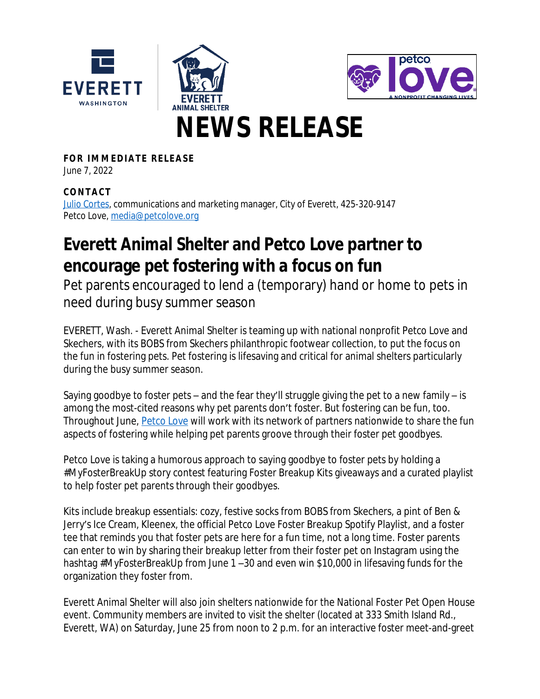





# **NEWS RELEASE**

**FOR IMMEDIATE RELEASE** June 7, 2022

### **CONTAC T**

[Julio Cortes,](mailto:jcortes@everettwa.gov) communications and marketing manager, City of Everett, 425-320-9147 Petco Love, [media@petcolove.org](mailto:media@petcolove.org)

## **Everett Animal Shelter and Petco Love partner to encourage pet fostering with a focus on fun**

Pet parents encouraged to lend a (temporary) hand or home to pets in need during busy summer season

EVERETT, Wash. - Everett Animal Shelter is teaming up with national nonprofit Petco Love and Skechers, with its BOBS from Skechers philanthropic footwear collection, to put the focus on the fun in fostering pets. Pet fostering is lifesaving and critical for animal shelters particularly during the busy summer season.

Saying goodbye to foster pets – and the fear they'll struggle giving the pet to a new family – is among the most-cited reasons why pet parents don't foster. But fostering can be fun, too. Throughout June, **Petco Love will work with its network of partners nationwide to share the fun** aspects of fostering while helping pet parents groove through their foster pet goodbyes.

Petco Love is taking a humorous approach to saying goodbye to foster pets by holding a #MyFosterBreakUp story contest featuring Foster Breakup Kits giveaways and a curated playlist to help foster pet parents through their goodbyes.

Kits include breakup essentials: cozy, festive socks from BOBS from Skechers, a pint of Ben & Jerry's Ice Cream, Kleenex, the official Petco Love Foster Breakup Spotify Playlist, and a foster tee that reminds you that foster pets are here for a fun time, not a long time. Foster parents can enter to win by sharing their breakup letter from their foster pet on Instagram using the hashtag #MyFosterBreakUp from June 1-30 and even win \$10,000 in lifesaving funds for the organization they foster from.

Everett Animal Shelter will also join shelters nationwide for the National Foster Pet Open House event. Community members are invited to visit the shelter (located at 333 Smith Island Rd., Everett, WA) on Saturday, June 25 from noon to 2 p.m. for an interactive foster meet-and-greet